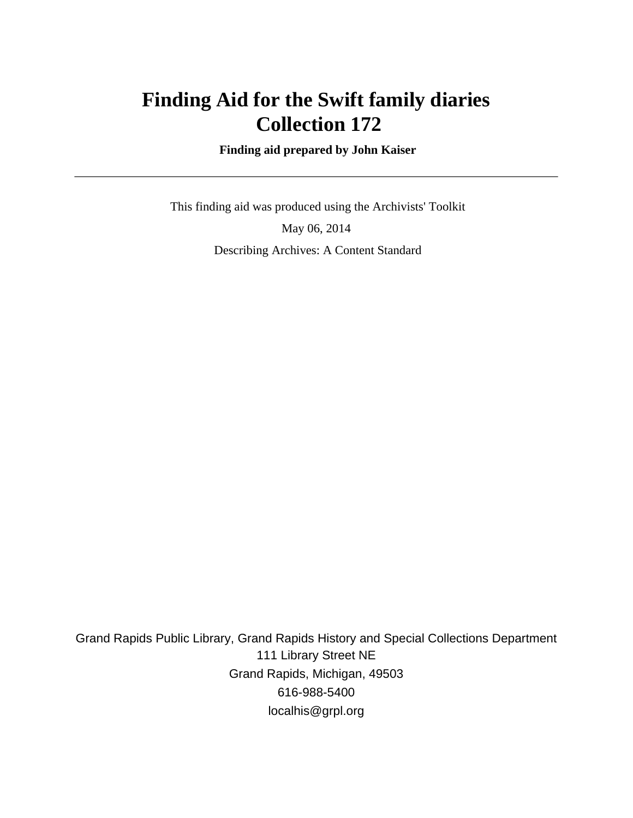# **Finding Aid for the Swift family diaries Collection 172**

 **Finding aid prepared by John Kaiser**

 This finding aid was produced using the Archivists' Toolkit May 06, 2014 Describing Archives: A Content Standard

Grand Rapids Public Library, Grand Rapids History and Special Collections Department 111 Library Street NE Grand Rapids, Michigan, 49503 616-988-5400 localhis@grpl.org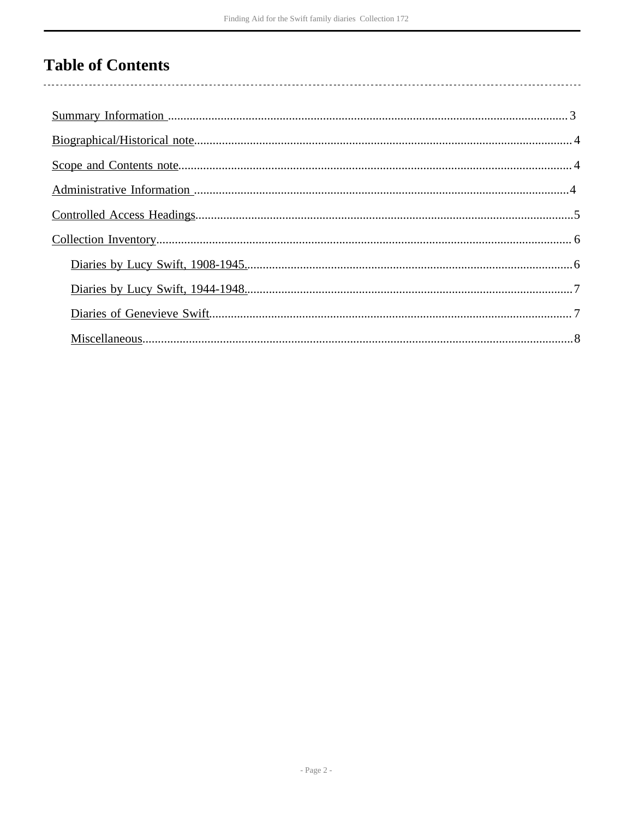# **Table of Contents**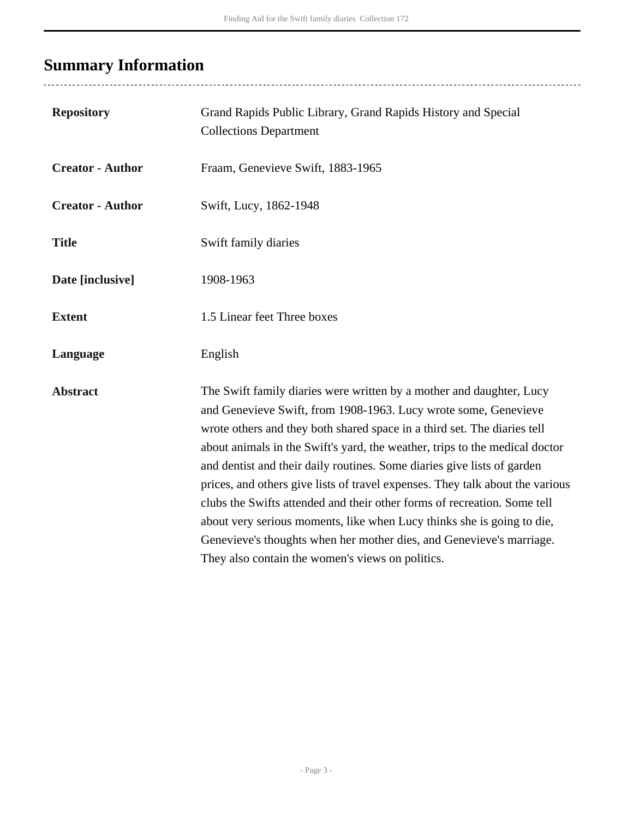# <span id="page-2-0"></span>**Summary Information**

| <b>Repository</b>       | Grand Rapids Public Library, Grand Rapids History and Special<br><b>Collections Department</b>                                                                                                                                                                                                                                                                                                                                                                                                                                                                                                                                                                                                                                                   |
|-------------------------|--------------------------------------------------------------------------------------------------------------------------------------------------------------------------------------------------------------------------------------------------------------------------------------------------------------------------------------------------------------------------------------------------------------------------------------------------------------------------------------------------------------------------------------------------------------------------------------------------------------------------------------------------------------------------------------------------------------------------------------------------|
| <b>Creator - Author</b> | Fraam, Genevieve Swift, 1883-1965                                                                                                                                                                                                                                                                                                                                                                                                                                                                                                                                                                                                                                                                                                                |
| <b>Creator - Author</b> | Swift, Lucy, 1862-1948                                                                                                                                                                                                                                                                                                                                                                                                                                                                                                                                                                                                                                                                                                                           |
| <b>Title</b>            | Swift family diaries                                                                                                                                                                                                                                                                                                                                                                                                                                                                                                                                                                                                                                                                                                                             |
| Date [inclusive]        | 1908-1963                                                                                                                                                                                                                                                                                                                                                                                                                                                                                                                                                                                                                                                                                                                                        |
| <b>Extent</b>           | 1.5 Linear feet Three boxes                                                                                                                                                                                                                                                                                                                                                                                                                                                                                                                                                                                                                                                                                                                      |
| Language                | English                                                                                                                                                                                                                                                                                                                                                                                                                                                                                                                                                                                                                                                                                                                                          |
| <b>Abstract</b>         | The Swift family diaries were written by a mother and daughter, Lucy<br>and Genevieve Swift, from 1908-1963. Lucy wrote some, Genevieve<br>wrote others and they both shared space in a third set. The diaries tell<br>about animals in the Swift's yard, the weather, trips to the medical doctor<br>and dentist and their daily routines. Some diaries give lists of garden<br>prices, and others give lists of travel expenses. They talk about the various<br>clubs the Swifts attended and their other forms of recreation. Some tell<br>about very serious moments, like when Lucy thinks she is going to die,<br>Genevieve's thoughts when her mother dies, and Genevieve's marriage.<br>They also contain the women's views on politics. |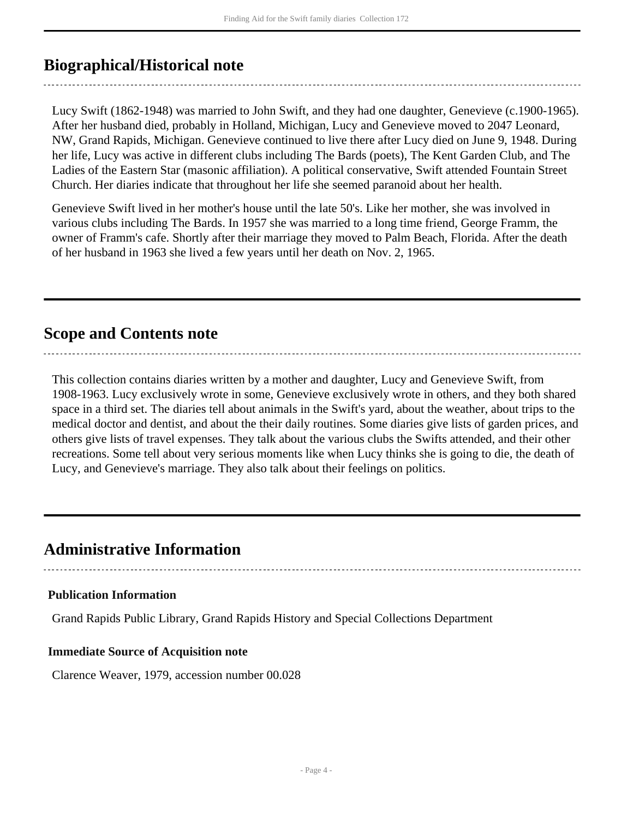### <span id="page-3-0"></span>**Biographical/Historical note**

Lucy Swift (1862-1948) was married to John Swift, and they had one daughter, Genevieve (c.1900-1965). After her husband died, probably in Holland, Michigan, Lucy and Genevieve moved to 2047 Leonard, NW, Grand Rapids, Michigan. Genevieve continued to live there after Lucy died on June 9, 1948. During her life, Lucy was active in different clubs including The Bards (poets), The Kent Garden Club, and The Ladies of the Eastern Star (masonic affiliation). A political conservative, Swift attended Fountain Street Church. Her diaries indicate that throughout her life she seemed paranoid about her health.

Genevieve Swift lived in her mother's house until the late 50's. Like her mother, she was involved in various clubs including The Bards. In 1957 she was married to a long time friend, George Framm, the owner of Framm's cafe. Shortly after their marriage they moved to Palm Beach, Florida. After the death of her husband in 1963 she lived a few years until her death on Nov. 2, 1965.

### <span id="page-3-1"></span>**Scope and Contents note**

This collection contains diaries written by a mother and daughter, Lucy and Genevieve Swift, from 1908-1963. Lucy exclusively wrote in some, Genevieve exclusively wrote in others, and they both shared space in a third set. The diaries tell about animals in the Swift's yard, about the weather, about trips to the medical doctor and dentist, and about the their daily routines. Some diaries give lists of garden prices, and others give lists of travel expenses. They talk about the various clubs the Swifts attended, and their other recreations. Some tell about very serious moments like when Lucy thinks she is going to die, the death of Lucy, and Genevieve's marriage. They also talk about their feelings on politics.

### <span id="page-3-2"></span>**Administrative Information**

#### **Publication Information**

Grand Rapids Public Library, Grand Rapids History and Special Collections Department

#### **Immediate Source of Acquisition note**

Clarence Weaver, 1979, accession number 00.028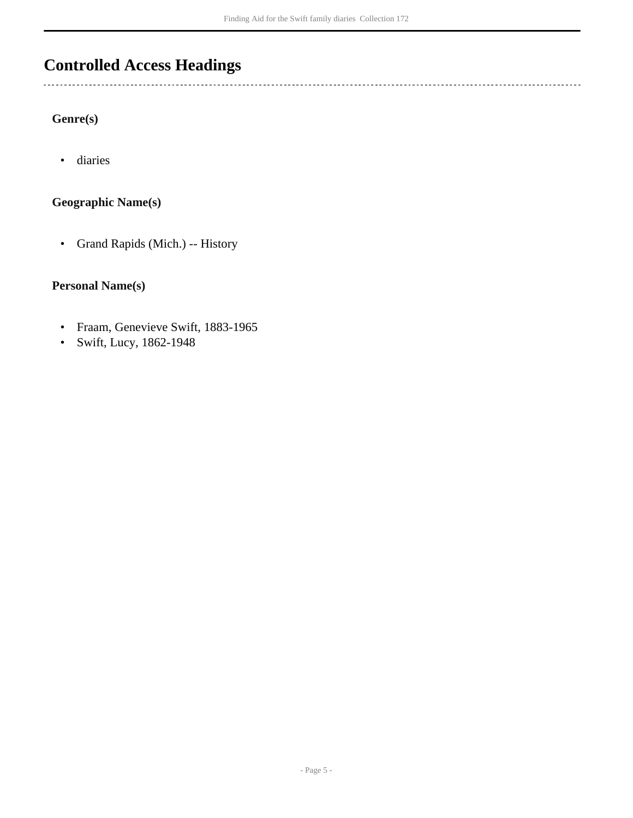## <span id="page-4-0"></span>**Controlled Access Headings**

#### **Genre(s)**

 $\ddotsc$ 

• diaries

#### **Geographic Name(s)**

• Grand Rapids (Mich.) -- History

#### **Personal Name(s)**

- Fraam, Genevieve Swift, 1883-1965
- Swift, Lucy, 1862-1948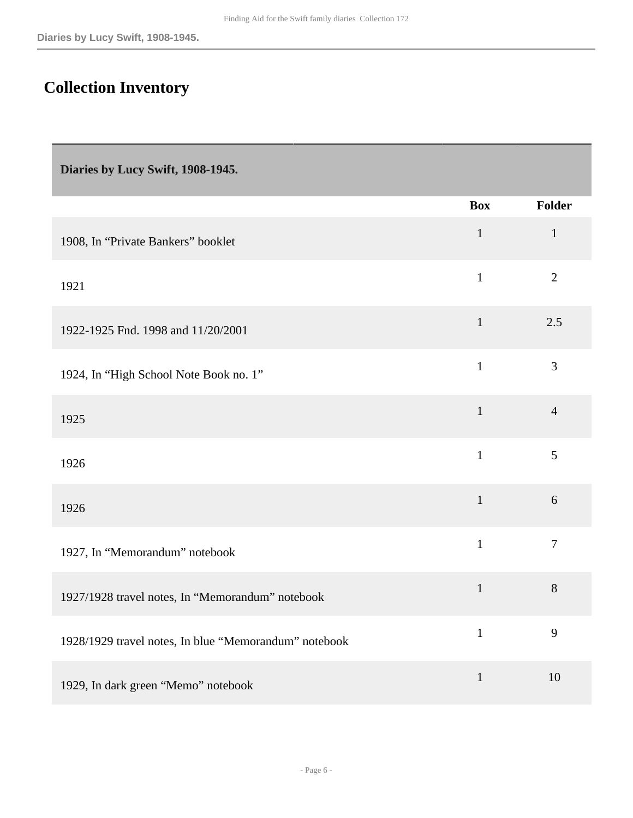## <span id="page-5-0"></span>**Collection Inventory**

<span id="page-5-1"></span>**Diaries by Lucy Swift, 1908-1945.** 

|                                                       | <b>Box</b>   | <b>Folder</b>  |
|-------------------------------------------------------|--------------|----------------|
| 1908, In "Private Bankers" booklet                    | $\mathbf 1$  | $\mathbf{1}$   |
| 1921                                                  | $\mathbf{1}$ | $\overline{2}$ |
| 1922-1925 Fnd. 1998 and 11/20/2001                    | $\mathbf{1}$ | 2.5            |
| 1924, In "High School Note Book no. 1"                | $\mathbf{1}$ | $\overline{3}$ |
| 1925                                                  | $\mathbf{1}$ | $\overline{4}$ |
| 1926                                                  | $\mathbf{1}$ | 5              |
| 1926                                                  | $\mathbf 1$  | 6              |
| 1927, In "Memorandum" notebook                        | $\mathbf{1}$ | $\overline{7}$ |
| 1927/1928 travel notes, In "Memorandum" notebook      | $\mathbf{1}$ | $8\,$          |
| 1928/1929 travel notes, In blue "Memorandum" notebook | $\mathbf{1}$ | 9              |
| 1929, In dark green "Memo" notebook                   | $\mathbf{1}$ | 10             |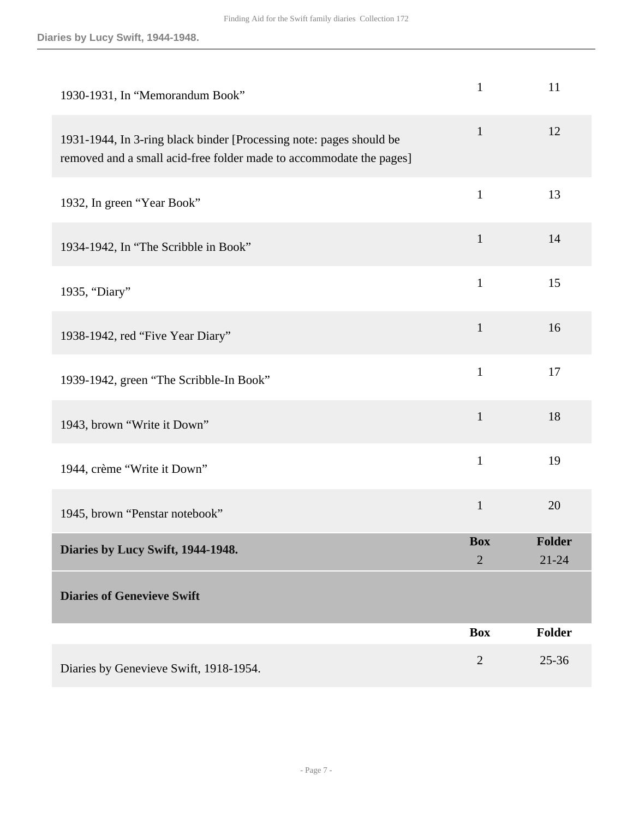<span id="page-6-1"></span><span id="page-6-0"></span>

| 1930-1931, In "Memorandum Book"                                                                                                            | $\mathbf{1}$                 | 11                  |
|--------------------------------------------------------------------------------------------------------------------------------------------|------------------------------|---------------------|
| 1931-1944, In 3-ring black binder [Processing note: pages should be<br>removed and a small acid-free folder made to accommodate the pages] | $\mathbf{1}$                 | 12                  |
| 1932, In green "Year Book"                                                                                                                 | $\mathbf{1}$                 | 13                  |
| 1934-1942, In "The Scribble in Book"                                                                                                       | $\mathbf{1}$                 | 14                  |
| 1935, "Diary"                                                                                                                              | $\mathbf{1}$                 | 15                  |
| 1938-1942, red "Five Year Diary"                                                                                                           | $\mathbf{1}$                 | 16                  |
| 1939-1942, green "The Scribble-In Book"                                                                                                    | $\mathbf{1}$                 | 17                  |
| 1943, brown "Write it Down"                                                                                                                | $\mathbf{1}$                 | 18                  |
| 1944, crème "Write it Down"                                                                                                                | $\mathbf{1}$                 | 19                  |
| 1945, brown "Penstar notebook"                                                                                                             | $\mathbf{1}$                 | 20                  |
| Diaries by Lucy Swift, 1944-1948.                                                                                                          | <b>Box</b><br>$\overline{2}$ | Folder<br>$21 - 24$ |
| <b>Diaries of Genevieve Swift</b>                                                                                                          |                              |                     |
|                                                                                                                                            | <b>Box</b>                   | Folder              |
| Diaries by Genevieve Swift, 1918-1954.                                                                                                     | $\overline{2}$               | $25 - 36$           |